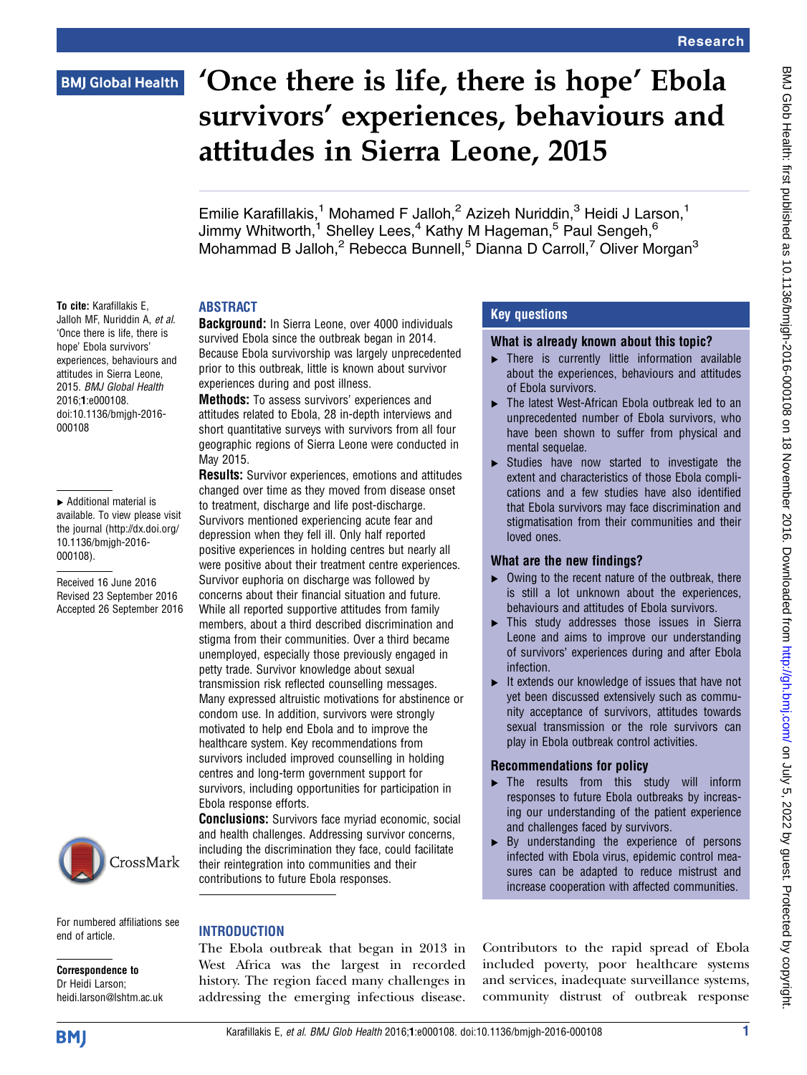# **BMJ Global Health**

# 'Once there is life, there is hope' Ebola survivors' experiences, behaviours and attitudes in Sierra Leone, 2015

Emilie Karafillakis,<sup>1</sup> Mohamed F Jalloh,<sup>2</sup> Azizeh Nuriddin,<sup>3</sup> Heidi J Larson,<sup>1</sup> Jimmy Whitworth,<sup>1</sup> Shelley Lees,<sup>4</sup> Kathy M Hageman,<sup>5</sup> Paul Sengeh,<sup>6</sup> Mohammad B Jalloh,<sup>2</sup> Rebecca Bunnell,<sup>5</sup> Dianna D Carroll,<sup>7</sup> Oliver Morgan<sup>3</sup>

#### To cite: Karafillakis E,

Jalloh MF, Nuriddin A, et al. 'Once there is life, there is hope' Ebola survivors' experiences, behaviours and attitudes in Sierra Leone, 2015. BMJ Global Health 2016;1:e000108. doi:10.1136/bmjgh-2016- 000108

▸ Additional material is available. To view please visit the journal [\(http://dx.doi.org/](http://dx.doi.org/10.1136/bmjgh-2016-000108) [10.1136/bmjgh-2016-](http://dx.doi.org/10.1136/bmjgh-2016-000108) [000108\)](http://dx.doi.org/10.1136/bmjgh-2016-000108).

Received 16 June 2016 Revised 23 September 2016 Accepted 26 September 2016



For numbered affiliations see end of article.

#### Correspondence to Dr Heidi Larson; heidi.larson@lshtm.ac.uk

ABSTRACT

**Background:** In Sierra Leone, over 4000 individuals survived Ebola since the outbreak began in 2014. Because Ebola survivorship was largely unprecedented prior to this outbreak, little is known about survivor experiences during and post illness.

Methods: To assess survivors' experiences and attitudes related to Ebola, 28 in-depth interviews and short quantitative surveys with survivors from all four geographic regions of Sierra Leone were conducted in May 2015.

**Results:** Survivor experiences, emotions and attitudes changed over time as they moved from disease onset to treatment, discharge and life post-discharge. Survivors mentioned experiencing acute fear and depression when they fell ill. Only half reported positive experiences in holding centres but nearly all were positive about their treatment centre experiences. Survivor euphoria on discharge was followed by concerns about their financial situation and future. While all reported supportive attitudes from family members, about a third described discrimination and stigma from their communities. Over a third became unemployed, especially those previously engaged in petty trade. Survivor knowledge about sexual transmission risk reflected counselling messages. Many expressed altruistic motivations for abstinence or condom use. In addition, survivors were strongly motivated to help end Ebola and to improve the healthcare system. Key recommendations from survivors included improved counselling in holding centres and long-term government support for survivors, including opportunities for participation in Ebola response efforts.

Conclusions: Survivors face myriad economic, social and health challenges. Addressing survivor concerns, including the discrimination they face, could facilitate their reintegration into communities and their contributions to future Ebola responses.

## **INTRODUCTION**

The Ebola outbreak that began in 2013 in West Africa was the largest in recorded history. The region faced many challenges in addressing the emerging infectious disease.

# Key questions

#### What is already known about this topic?

- ▸ There is currently little information available about the experiences, behaviours and attitudes of Ebola survivors.
- The latest West-African Ebola outbreak led to an unprecedented number of Ebola survivors, who have been shown to suffer from physical and mental sequelae.
- ▸ Studies have now started to investigate the extent and characteristics of those Ebola complications and a few studies have also identified that Ebola survivors may face discrimination and stigmatisation from their communities and their loved ones.

#### What are the new findings?

- $\triangleright$  Owing to the recent nature of the outbreak, there is still a lot unknown about the experiences, behaviours and attitudes of Ebola survivors.
- This study addresses those issues in Sierra Leone and aims to improve our understanding of survivors' experiences during and after Ebola infection.
- $\blacktriangleright$  It extends our knowledge of issues that have not yet been discussed extensively such as community acceptance of survivors, attitudes towards sexual transmission or the role survivors can play in Ebola outbreak control activities.

#### Recommendations for policy

- ▶ The results from this study will inform responses to future Ebola outbreaks by increasing our understanding of the patient experience and challenges faced by survivors.
- $\triangleright$  By understanding the experience of persons infected with Ebola virus, epidemic control measures can be adapted to reduce mistrust and increase cooperation with affected communities.

Contributors to the rapid spread of Ebola included poverty, poor healthcare systems and services, inadequate surveillance systems, community distrust of outbreak response

**BMJ**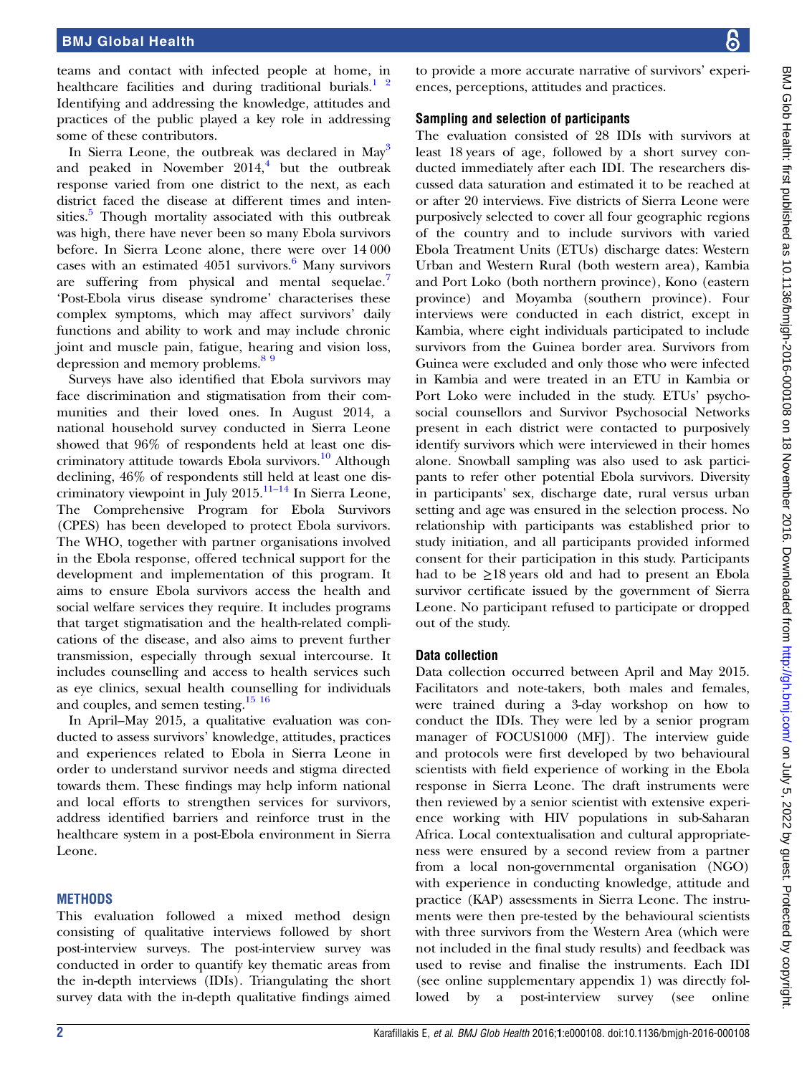teams and contact with infected people at home, in healthcare facilities and during traditional burials. $1^2$ Identifying and addressing the knowledge, attitudes and practices of the public played a key role in addressing some of these contributors.

In Sierra Leone, the outbreak was declared in May<sup>[3](#page-8-0)</sup> and peaked in November  $2014<sup>4</sup>$  $2014<sup>4</sup>$  $2014<sup>4</sup>$  but the outbreak response varied from one district to the next, as each district faced the disease at different times and inten-sities.<sup>[5](#page-8-0)</sup> Though mortality associated with this outbreak was high, there have never been so many Ebola survivors before. In Sierra Leone alone, there were over 14 000 cases with an estimated  $4051$  survivors.<sup>[6](#page-8-0)</sup> Many survivors are suffering from physical and mental sequelae.<sup>[7](#page-8-0)</sup> 'Post-Ebola virus disease syndrome' characterises these complex symptoms, which may affect survivors' daily functions and ability to work and may include chronic joint and muscle pain, fatigue, hearing and vision loss, depression and memory problems.<sup>89</sup>

Surveys have also identified that Ebola survivors may face discrimination and stigmatisation from their communities and their loved ones. In August 2014, a national household survey conducted in Sierra Leone showed that 96% of respondents held at least one dis-criminatory attitude towards Ebola survivors.<sup>[10](#page-8-0)</sup> Although declining, 46% of respondents still held at least one dis-criminatory viewpoint in July 2015.<sup>[11](#page-8-0)–14</sup> In Sierra Leone, The Comprehensive Program for Ebola Survivors (CPES) has been developed to protect Ebola survivors. The WHO, together with partner organisations involved in the Ebola response, offered technical support for the development and implementation of this program. It aims to ensure Ebola survivors access the health and social welfare services they require. It includes programs that target stigmatisation and the health-related complications of the disease, and also aims to prevent further transmission, especially through sexual intercourse. It includes counselling and access to health services such as eye clinics, sexual health counselling for individuals and couples, and semen testing. $15 \frac{15}{16}$ 

In April–May 2015, a qualitative evaluation was conducted to assess survivors' knowledge, attitudes, practices and experiences related to Ebola in Sierra Leone in order to understand survivor needs and stigma directed towards them. These findings may help inform national and local efforts to strengthen services for survivors, address identified barriers and reinforce trust in the healthcare system in a post-Ebola environment in Sierra Leone.

## **METHODS**

This evaluation followed a mixed method design consisting of qualitative interviews followed by short post-interview surveys. The post-interview survey was conducted in order to quantify key thematic areas from the in-depth interviews (IDIs). Triangulating the short survey data with the in-depth qualitative findings aimed

to provide a more accurate narrative of survivors' experiences, perceptions, attitudes and practices.

#### Sampling and selection of participants

The evaluation consisted of 28 IDIs with survivors at least 18 years of age, followed by a short survey conducted immediately after each IDI. The researchers discussed data saturation and estimated it to be reached at or after 20 interviews. Five districts of Sierra Leone were purposively selected to cover all four geographic regions of the country and to include survivors with varied Ebola Treatment Units (ETUs) discharge dates: Western Urban and Western Rural (both western area), Kambia and Port Loko (both northern province), Kono (eastern province) and Moyamba (southern province). Four interviews were conducted in each district, except in Kambia, where eight individuals participated to include survivors from the Guinea border area. Survivors from Guinea were excluded and only those who were infected in Kambia and were treated in an ETU in Kambia or Port Loko were included in the study. ETUs' psychosocial counsellors and Survivor Psychosocial Networks present in each district were contacted to purposively identify survivors which were interviewed in their homes alone. Snowball sampling was also used to ask participants to refer other potential Ebola survivors. Diversity in participants' sex, discharge date, rural versus urban setting and age was ensured in the selection process. No relationship with participants was established prior to study initiation, and all participants provided informed consent for their participation in this study. Participants had to be  $\geq$ 18 years old and had to present an Ebola survivor certificate issued by the government of Sierra Leone. No participant refused to participate or dropped out of the study.

#### Data collection

Data collection occurred between April and May 2015. Facilitators and note-takers, both males and females, were trained during a 3-day workshop on how to conduct the IDIs. They were led by a senior program manager of FOCUS1000 (MFJ). The interview guide and protocols were first developed by two behavioural scientists with field experience of working in the Ebola response in Sierra Leone. The draft instruments were then reviewed by a senior scientist with extensive experience working with HIV populations in sub-Saharan Africa. Local contextualisation and cultural appropriateness were ensured by a second review from a partner from a local non-governmental organisation (NGO) with experience in conducting knowledge, attitude and practice (KAP) assessments in Sierra Leone. The instruments were then pre-tested by the behavioural scientists with three survivors from the Western Area (which were not included in the final study results) and feedback was used to revise and finalise the instruments. Each IDI (see online [supplementary appendix 1\)](http://dx.doi.org/10.1136/bmjgh-2016-000108) was directly followed by a post-interview survey (see online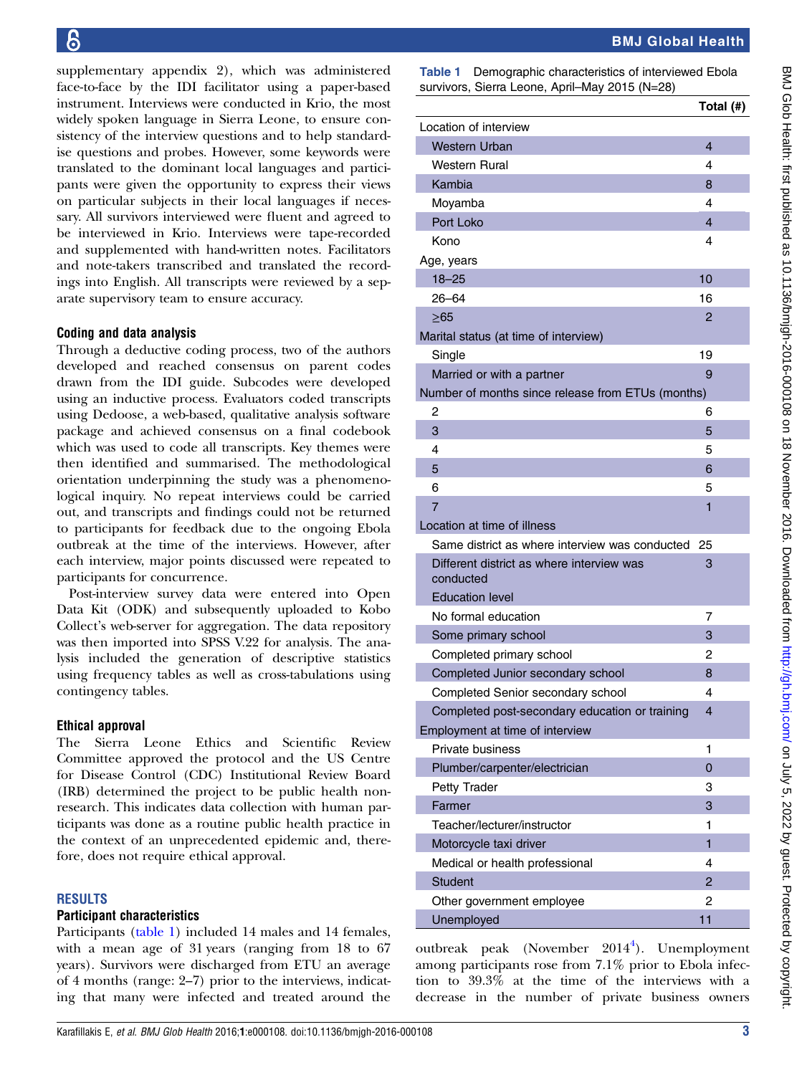[supplementary](http://dx.doi.org/10.1136/bmjgh-2016-000108) appendix 2), which was administered face-to-face by the IDI facilitator using a paper-based instrument. Interviews were conducted in Krio, the most widely spoken language in Sierra Leone, to ensure consistency of the interview questions and to help standardise questions and probes. However, some keywords were translated to the dominant local languages and participants were given the opportunity to express their views on particular subjects in their local languages if necessary. All survivors interviewed were fluent and agreed to be interviewed in Krio. Interviews were tape-recorded and supplemented with hand-written notes. Facilitators and note-takers transcribed and translated the recordings into English. All transcripts were reviewed by a separate supervisory team to ensure accuracy.

#### Coding and data analysis

Through a deductive coding process, two of the authors developed and reached consensus on parent codes drawn from the IDI guide. Subcodes were developed using an inductive process. Evaluators coded transcripts using Dedoose, a web-based, qualitative analysis software package and achieved consensus on a final codebook which was used to code all transcripts. Key themes were then identified and summarised. The methodological orientation underpinning the study was a phenomenological inquiry. No repeat interviews could be carried out, and transcripts and findings could not be returned to participants for feedback due to the ongoing Ebola outbreak at the time of the interviews. However, after each interview, major points discussed were repeated to participants for concurrence.

Post-interview survey data were entered into Open Data Kit (ODK) and subsequently uploaded to Kobo Collect's web-server for aggregation. The data repository was then imported into SPSS V.22 for analysis. The analysis included the generation of descriptive statistics using frequency tables as well as cross-tabulations using contingency tables.

## Ethical approval

The Sierra Leone Ethics and Scientific Review Committee approved the protocol and the US Centre for Disease Control (CDC) Institutional Review Board (IRB) determined the project to be public health nonresearch. This indicates data collection with human participants was done as a routine public health practice in the context of an unprecedented epidemic and, therefore, does not require ethical approval.

#### RESULTS

#### Participant characteristics

Participants (table 1) included 14 males and 14 females, with a mean age of 31 years (ranging from 18 to 67 years). Survivors were discharged from ETU an average of 4 months (range: 2–7) prior to the interviews, indicating that many were infected and treated around the

Table 1 Demographic characteristics of interviewed Ebola survivors, Sierra Leone, April–May 2015 (N=28)

I

|                                                        | Total (#)               |
|--------------------------------------------------------|-------------------------|
| Location of interview                                  |                         |
| <b>Western Urban</b>                                   | $\overline{\mathbf{4}}$ |
| <b>Western Rural</b>                                   | 4                       |
| Kambia                                                 | 8                       |
| Moyamba                                                | 4                       |
| Port Loko                                              | 4                       |
| Kono                                                   | 4                       |
| Age, years                                             |                         |
| $18 - 25$                                              | 10                      |
| $26 - 64$                                              | 16                      |
| >65                                                    | 2                       |
| Marital status (at time of interview)                  |                         |
| Single                                                 | 19                      |
| Married or with a partner                              | 9                       |
| Number of months since release from ETUs (months)      |                         |
| 2                                                      | 6                       |
| 3                                                      | 5                       |
| 4                                                      | 5                       |
| 5                                                      | 6                       |
| 6                                                      | 5                       |
| $\overline{7}$                                         | 1                       |
| Location at time of illness                            |                         |
| Same district as where interview was conducted         | 25                      |
| Different district as where interview was<br>conducted | 3                       |
| <b>Education level</b>                                 |                         |
| No formal education                                    | 7                       |
| Some primary school                                    | 3                       |
| Completed primary school                               | 2                       |
| Completed Junior secondary school                      | 8                       |
| Completed Senior secondary school                      | 4                       |
| Completed post-secondary education or training         | 4                       |
| Employment at time of interview                        |                         |
| Private business                                       | 1                       |
| Plumber/carpenter/electrician                          | 0                       |
| Petty Trader                                           | 3                       |
| Farmer                                                 | 3                       |
| Teacher/lecturer/instructor                            | 1                       |
| Motorcycle taxi driver                                 | $\overline{1}$          |
| Medical or health professional                         | 4                       |
| <b>Student</b>                                         | $\overline{2}$          |
| Other government employee                              | $\overline{c}$          |
| Unemployed                                             | 11                      |

outbreak peak (November 201[4](#page-8-0)<sup>4</sup>). Unemployment among participants rose from 7.1% prior to Ebola infection to 39.3% at the time of the interviews with a decrease in the number of private business owners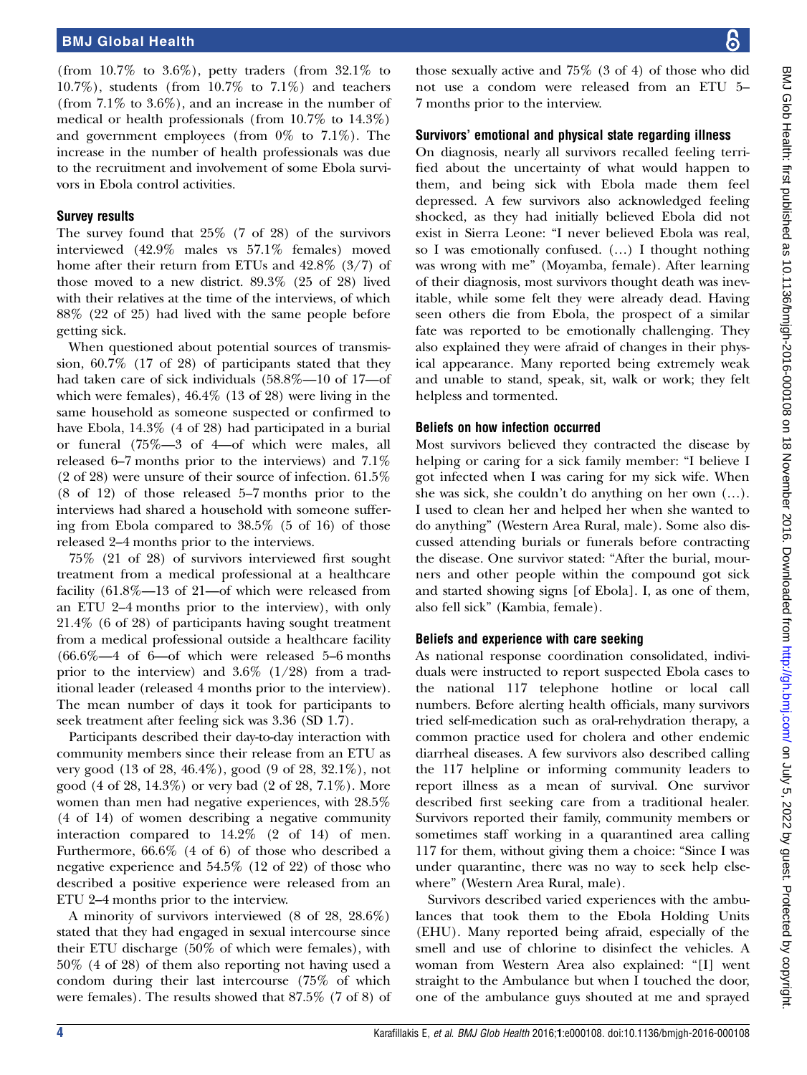(from  $10.7\%$  to  $3.6\%$ ), petty traders (from  $32.1\%$  to  $10.7\%$ ), students (from  $10.7\%$  to  $7.1\%$ ) and teachers (from  $7.1\%$  to  $3.6\%$ ), and an increase in the number of medical or health professionals (from 10.7% to 14.3%) and government employees (from 0% to 7.1%). The increase in the number of health professionals was due to the recruitment and involvement of some Ebola survivors in Ebola control activities.

#### Survey results

The survey found that 25% (7 of 28) of the survivors interviewed (42.9% males vs 57.1% females) moved home after their return from ETUs and 42.8% (3/7) of those moved to a new district. 89.3% (25 of 28) lived with their relatives at the time of the interviews, of which 88% (22 of 25) had lived with the same people before getting sick.

When questioned about potential sources of transmission, 60.7% (17 of 28) of participants stated that they had taken care of sick individuals (58.8%—10 of 17—of which were females), 46.4% (13 of 28) were living in the same household as someone suspected or confirmed to have Ebola, 14.3% (4 of 28) had participated in a burial or funeral (75%—3 of 4—of which were males, all released 6–7 months prior to the interviews) and 7.1% (2 of 28) were unsure of their source of infection. 61.5% (8 of 12) of those released 5–7 months prior to the interviews had shared a household with someone suffering from Ebola compared to 38.5% (5 of 16) of those released 2–4 months prior to the interviews.

75% (21 of 28) of survivors interviewed first sought treatment from a medical professional at a healthcare facility (61.8%—13 of 21—of which were released from an ETU 2–4 months prior to the interview), with only 21.4% (6 of 28) of participants having sought treatment from a medical professional outside a healthcare facility  $(66.6\% - 4 \text{ of } 6 \text{--} 6 \text{ which were released } 5 \text{--} 6 \text{ months}$ prior to the interview) and 3.6% (1/28) from a traditional leader (released 4 months prior to the interview). The mean number of days it took for participants to seek treatment after feeling sick was 3.36 (SD 1.7).

Participants described their day-to-day interaction with community members since their release from an ETU as very good (13 of 28, 46.4%), good (9 of 28, 32.1%), not good (4 of 28, 14.3%) or very bad (2 of 28, 7.1%). More women than men had negative experiences, with 28.5% (4 of 14) of women describing a negative community interaction compared to 14.2% (2 of 14) of men. Furthermore, 66.6% (4 of 6) of those who described a negative experience and 54.5% (12 of 22) of those who described a positive experience were released from an ETU 2–4 months prior to the interview.

A minority of survivors interviewed (8 of 28, 28.6%) stated that they had engaged in sexual intercourse since their ETU discharge (50% of which were females), with 50% (4 of 28) of them also reporting not having used a condom during their last intercourse (75% of which were females). The results showed that 87.5% (7 of 8) of

those sexually active and 75% (3 of 4) of those who did not use a condom were released from an ETU 5– 7 months prior to the interview.

# Survivors' emotional and physical state regarding illness

On diagnosis, nearly all survivors recalled feeling terrified about the uncertainty of what would happen to them, and being sick with Ebola made them feel depressed. A few survivors also acknowledged feeling shocked, as they had initially believed Ebola did not exist in Sierra Leone: "I never believed Ebola was real, so I was emotionally confused. (…) I thought nothing was wrong with me" (Moyamba, female). After learning of their diagnosis, most survivors thought death was inevitable, while some felt they were already dead. Having seen others die from Ebola, the prospect of a similar fate was reported to be emotionally challenging. They also explained they were afraid of changes in their physical appearance. Many reported being extremely weak and unable to stand, speak, sit, walk or work; they felt helpless and tormented.

## Beliefs on how infection occurred

Most survivors believed they contracted the disease by helping or caring for a sick family member: "I believe I got infected when I was caring for my sick wife. When she was sick, she couldn't do anything on her own (…). I used to clean her and helped her when she wanted to do anything" (Western Area Rural, male). Some also discussed attending burials or funerals before contracting the disease. One survivor stated: "After the burial, mourners and other people within the compound got sick and started showing signs [of Ebola]. I, as one of them, also fell sick" (Kambia, female).

## Beliefs and experience with care seeking

As national response coordination consolidated, individuals were instructed to report suspected Ebola cases to the national 117 telephone hotline or local call numbers. Before alerting health officials, many survivors tried self-medication such as oral-rehydration therapy, a common practice used for cholera and other endemic diarrheal diseases. A few survivors also described calling the 117 helpline or informing community leaders to report illness as a mean of survival. One survivor described first seeking care from a traditional healer. Survivors reported their family, community members or sometimes staff working in a quarantined area calling 117 for them, without giving them a choice: "Since I was under quarantine, there was no way to seek help elsewhere" (Western Area Rural, male).

Survivors described varied experiences with the ambulances that took them to the Ebola Holding Units (EHU). Many reported being afraid, especially of the smell and use of chlorine to disinfect the vehicles. A woman from Western Area also explained: "[I] went straight to the Ambulance but when I touched the door, one of the ambulance guys shouted at me and sprayed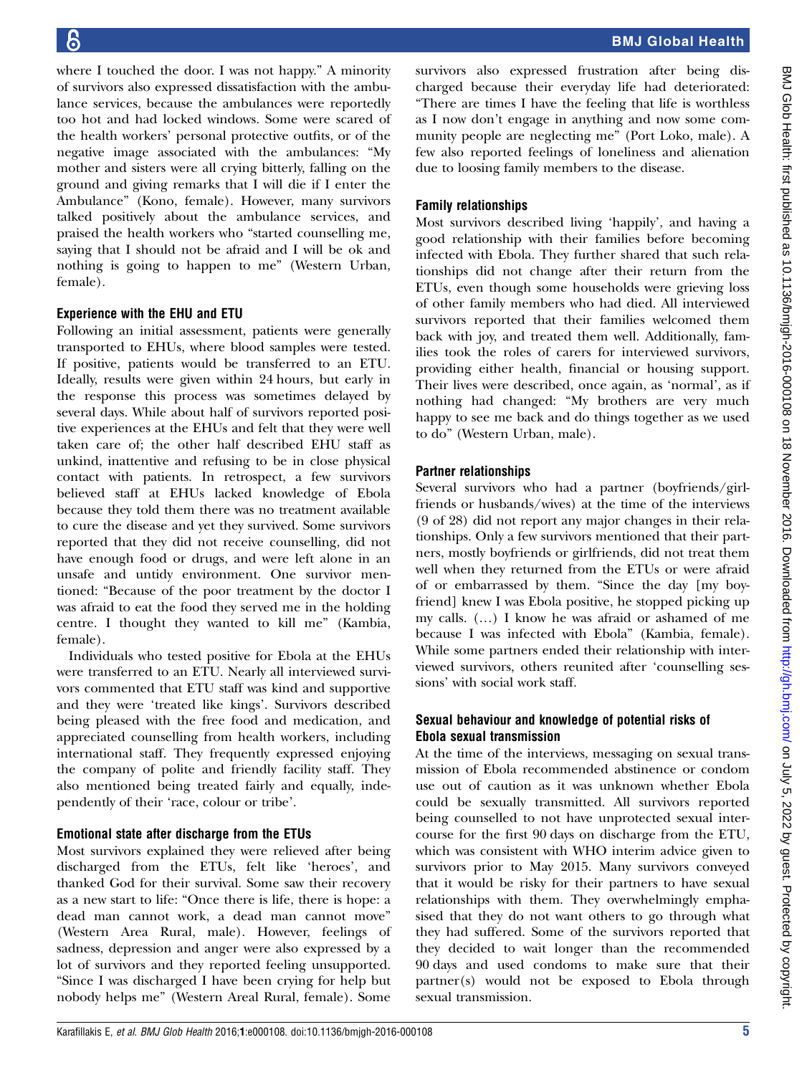where I touched the door. I was not happy." A minority of survivors also expressed dissatisfaction with the ambulance services, because the ambulances were reportedly too hot and had locked windows. Some were scared of the health workers' personal protective outfits, or of the negative image associated with the ambulances: "My mother and sisters were all crying bitterly, falling on the ground and giving remarks that I will die if I enter the Ambulance" (Kono, female). However, many survivors talked positively about the ambulance services, and praised the health workers who "started counselling me, saying that I should not be afraid and I will be ok and nothing is going to happen to me" (Western Urban, female).

# Experience with the EHU and ETU

Following an initial assessment, patients were generally transported to EHUs, where blood samples were tested. If positive, patients would be transferred to an ETU. Ideally, results were given within 24 hours, but early in the response this process was sometimes delayed by several days. While about half of survivors reported positive experiences at the EHUs and felt that they were well taken care of; the other half described EHU staff as unkind, inattentive and refusing to be in close physical contact with patients. In retrospect, a few survivors believed staff at EHUs lacked knowledge of Ebola because they told them there was no treatment available to cure the disease and yet they survived. Some survivors reported that they did not receive counselling, did not have enough food or drugs, and were left alone in an unsafe and untidy environment. One survivor mentioned: "Because of the poor treatment by the doctor I was afraid to eat the food they served me in the holding centre. I thought they wanted to kill me" (Kambia, female).

Individuals who tested positive for Ebola at the EHUs were transferred to an ETU. Nearly all interviewed survivors commented that ETU staff was kind and supportive and they were 'treated like kings'. Survivors described being pleased with the free food and medication, and appreciated counselling from health workers, including international staff. They frequently expressed enjoying the company of polite and friendly facility staff. They also mentioned being treated fairly and equally, independently of their 'race, colour or tribe'.

## Emotional state after discharge from the ETUs

Most survivors explained they were relieved after being discharged from the ETUs, felt like 'heroes', and thanked God for their survival. Some saw their recovery as a new start to life: "Once there is life, there is hope: a dead man cannot work, a dead man cannot move" (Western Area Rural, male). However, feelings of sadness, depression and anger were also expressed by a lot of survivors and they reported feeling unsupported. "Since I was discharged I have been crying for help but nobody helps me" (Western Areal Rural, female). Some

survivors also expressed frustration after being discharged because their everyday life had deteriorated: "There are times I have the feeling that life is worthless as I now don't engage in anything and now some community people are neglecting me" (Port Loko, male). A few also reported feelings of loneliness and alienation due to loosing family members to the disease.

# Family relationships

Most survivors described living 'happily', and having a good relationship with their families before becoming infected with Ebola. They further shared that such relationships did not change after their return from the ETUs, even though some households were grieving loss of other family members who had died. All interviewed survivors reported that their families welcomed them back with joy, and treated them well. Additionally, families took the roles of carers for interviewed survivors, providing either health, financial or housing support. Their lives were described, once again, as 'normal', as if nothing had changed: "My brothers are very much happy to see me back and do things together as we used to do" (Western Urban, male).

# Partner relationships

Several survivors who had a partner (boyfriends/girlfriends or husbands/wives) at the time of the interviews (9 of 28) did not report any major changes in their relationships. Only a few survivors mentioned that their partners, mostly boyfriends or girlfriends, did not treat them well when they returned from the ETUs or were afraid of or embarrassed by them. "Since the day [my boyfriend] knew I was Ebola positive, he stopped picking up my calls. (…) I know he was afraid or ashamed of me because I was infected with Ebola" (Kambia, female). While some partners ended their relationship with interviewed survivors, others reunited after 'counselling sessions' with social work staff.

## Sexual behaviour and knowledge of potential risks of Ebola sexual transmission

At the time of the interviews, messaging on sexual transmission of Ebola recommended abstinence or condom use out of caution as it was unknown whether Ebola could be sexually transmitted. All survivors reported being counselled to not have unprotected sexual intercourse for the first 90 days on discharge from the ETU, which was consistent with WHO interim advice given to survivors prior to May 2015. Many survivors conveyed that it would be risky for their partners to have sexual relationships with them. They overwhelmingly emphasised that they do not want others to go through what they had suffered. Some of the survivors reported that they decided to wait longer than the recommended 90 days and used condoms to make sure that their partner(s) would not be exposed to Ebola through sexual transmission.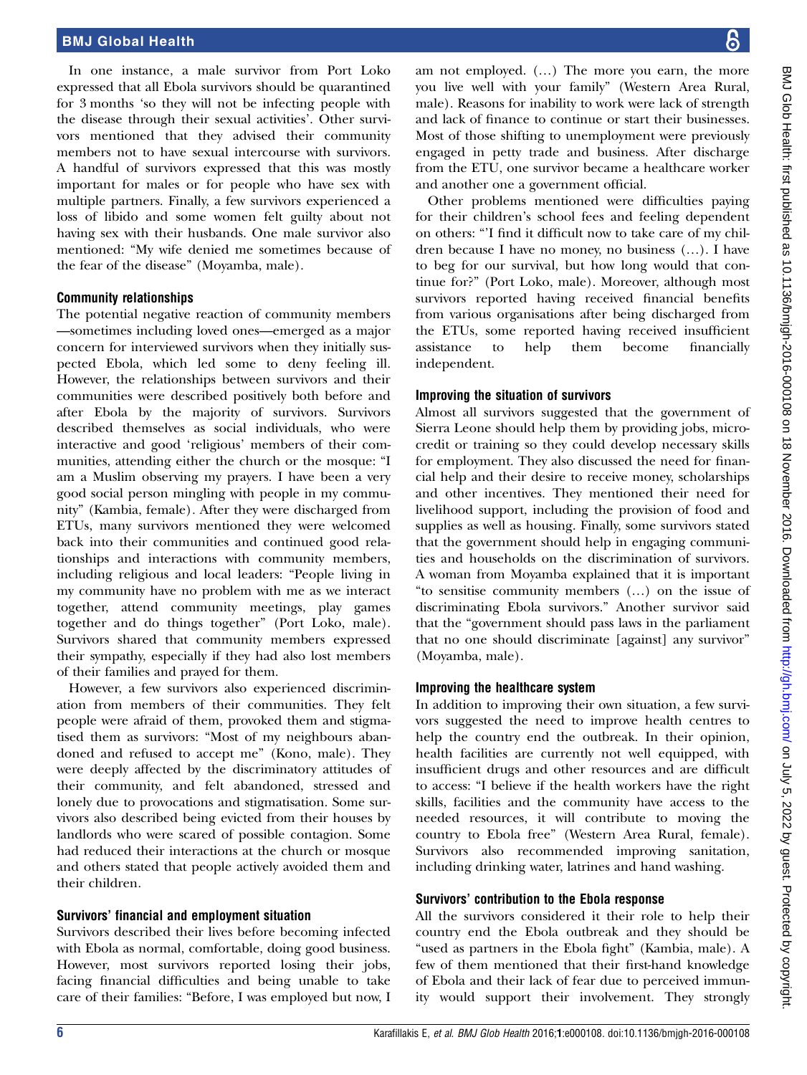In one instance, a male survivor from Port Loko expressed that all Ebola survivors should be quarantined for 3 months 'so they will not be infecting people with the disease through their sexual activities'. Other survivors mentioned that they advised their community members not to have sexual intercourse with survivors. A handful of survivors expressed that this was mostly important for males or for people who have sex with multiple partners. Finally, a few survivors experienced a loss of libido and some women felt guilty about not having sex with their husbands. One male survivor also mentioned: "My wife denied me sometimes because of the fear of the disease" (Moyamba, male).

#### Community relationships

The potential negative reaction of community members —sometimes including loved ones—emerged as a major concern for interviewed survivors when they initially suspected Ebola, which led some to deny feeling ill. However, the relationships between survivors and their communities were described positively both before and after Ebola by the majority of survivors. Survivors described themselves as social individuals, who were interactive and good 'religious' members of their communities, attending either the church or the mosque: "I am a Muslim observing my prayers. I have been a very good social person mingling with people in my community" (Kambia, female). After they were discharged from ETUs, many survivors mentioned they were welcomed back into their communities and continued good relationships and interactions with community members, including religious and local leaders: "People living in my community have no problem with me as we interact together, attend community meetings, play games together and do things together" (Port Loko, male). Survivors shared that community members expressed their sympathy, especially if they had also lost members of their families and prayed for them.

However, a few survivors also experienced discrimination from members of their communities. They felt people were afraid of them, provoked them and stigmatised them as survivors: "Most of my neighbours abandoned and refused to accept me" (Kono, male). They were deeply affected by the discriminatory attitudes of their community, and felt abandoned, stressed and lonely due to provocations and stigmatisation. Some survivors also described being evicted from their houses by landlords who were scared of possible contagion. Some had reduced their interactions at the church or mosque and others stated that people actively avoided them and their children.

## Survivors' financial and employment situation

Survivors described their lives before becoming infected with Ebola as normal, comfortable, doing good business. However, most survivors reported losing their jobs, facing financial difficulties and being unable to take care of their families: "Before, I was employed but now, I

am not employed. (…) The more you earn, the more you live well with your family" (Western Area Rural, male). Reasons for inability to work were lack of strength and lack of finance to continue or start their businesses. Most of those shifting to unemployment were previously engaged in petty trade and business. After discharge from the ETU, one survivor became a healthcare worker and another one a government official.

Other problems mentioned were difficulties paying for their children's school fees and feeling dependent on others: "'I find it difficult now to take care of my children because I have no money, no business (…). I have to beg for our survival, but how long would that continue for?" (Port Loko, male). Moreover, although most survivors reported having received financial benefits from various organisations after being discharged from the ETUs, some reported having received insufficient assistance to help them become financially independent.

#### Improving the situation of survivors

Almost all survivors suggested that the government of Sierra Leone should help them by providing jobs, microcredit or training so they could develop necessary skills for employment. They also discussed the need for financial help and their desire to receive money, scholarships and other incentives. They mentioned their need for livelihood support, including the provision of food and supplies as well as housing. Finally, some survivors stated that the government should help in engaging communities and households on the discrimination of survivors. A woman from Moyamba explained that it is important "to sensitise community members (…) on the issue of discriminating Ebola survivors." Another survivor said that the "government should pass laws in the parliament that no one should discriminate [against] any survivor" (Moyamba, male).

#### Improving the healthcare system

In addition to improving their own situation, a few survivors suggested the need to improve health centres to help the country end the outbreak. In their opinion, health facilities are currently not well equipped, with insufficient drugs and other resources and are difficult to access: "I believe if the health workers have the right skills, facilities and the community have access to the needed resources, it will contribute to moving the country to Ebola free" (Western Area Rural, female). Survivors also recommended improving sanitation, including drinking water, latrines and hand washing.

#### Survivors' contribution to the Ebola response

All the survivors considered it their role to help their country end the Ebola outbreak and they should be "used as partners in the Ebola fight" (Kambia, male). A few of them mentioned that their first-hand knowledge of Ebola and their lack of fear due to perceived immunity would support their involvement. They strongly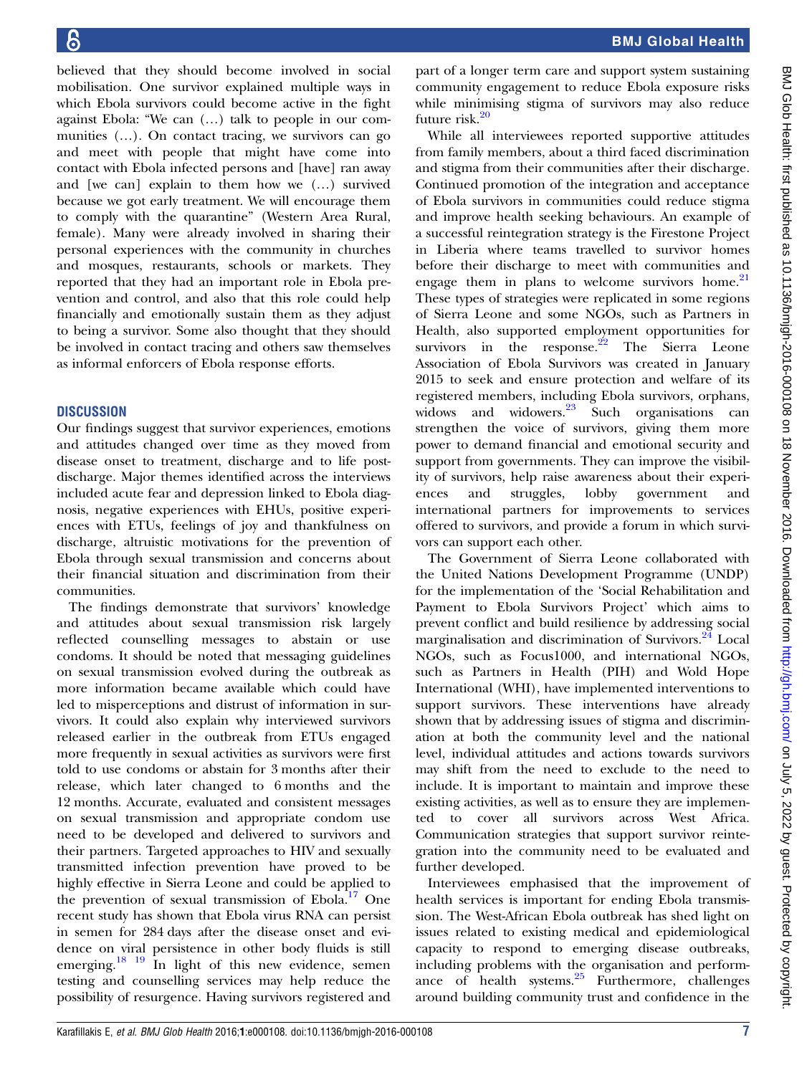believed that they should become involved in social mobilisation. One survivor explained multiple ways in which Ebola survivors could become active in the fight against Ebola: "We can (…) talk to people in our communities (…). On contact tracing, we survivors can go and meet with people that might have come into contact with Ebola infected persons and [have] ran away and [we can] explain to them how we (…) survived because we got early treatment. We will encourage them to comply with the quarantine" (Western Area Rural, female). Many were already involved in sharing their personal experiences with the community in churches and mosques, restaurants, schools or markets. They reported that they had an important role in Ebola prevention and control, and also that this role could help financially and emotionally sustain them as they adjust to being a survivor. Some also thought that they should be involved in contact tracing and others saw themselves as informal enforcers of Ebola response efforts.

#### **DISCUSSION**

Our findings suggest that survivor experiences, emotions and attitudes changed over time as they moved from disease onset to treatment, discharge and to life postdischarge. Major themes identified across the interviews included acute fear and depression linked to Ebola diagnosis, negative experiences with EHUs, positive experiences with ETUs, feelings of joy and thankfulness on discharge, altruistic motivations for the prevention of Ebola through sexual transmission and concerns about their financial situation and discrimination from their communities.

The findings demonstrate that survivors' knowledge and attitudes about sexual transmission risk largely reflected counselling messages to abstain or use condoms. It should be noted that messaging guidelines on sexual transmission evolved during the outbreak as more information became available which could have led to misperceptions and distrust of information in survivors. It could also explain why interviewed survivors released earlier in the outbreak from ETUs engaged more frequently in sexual activities as survivors were first told to use condoms or abstain for 3 months after their release, which later changed to 6 months and the 12 months. Accurate, evaluated and consistent messages on sexual transmission and appropriate condom use need to be developed and delivered to survivors and their partners. Targeted approaches to HIV and sexually transmitted infection prevention have proved to be highly effective in Sierra Leone and could be applied to the prevention of sexual transmission of Ebola.<sup>[17](#page-8-0)</sup> One recent study has shown that Ebola virus RNA can persist in semen for 284 days after the disease onset and evidence on viral persistence in other body fluids is still emerging.<sup>[18 19](#page-8-0)</sup> In light of this new evidence, semen testing and counselling services may help reduce the possibility of resurgence. Having survivors registered and

part of a longer term care and support system sustaining community engagement to reduce Ebola exposure risks while minimising stigma of survivors may also reduce future risk.<sup>[20](#page-8-0)</sup>

While all interviewees reported supportive attitudes from family members, about a third faced discrimination and stigma from their communities after their discharge. Continued promotion of the integration and acceptance of Ebola survivors in communities could reduce stigma and improve health seeking behaviours. An example of a successful reintegration strategy is the Firestone Project in Liberia where teams travelled to survivor homes before their discharge to meet with communities and engage them in plans to welcome survivors home. $2<sup>1</sup>$ These types of strategies were replicated in some regions of Sierra Leone and some NGOs, such as Partners in Health, also supported employment opportunities for survivors in the response. $2^2$  The Sierra Leone Association of Ebola Survivors was created in January 2015 to seek and ensure protection and welfare of its registered members, including Ebola survivors, orphans, widows and widowers.<sup>[23](#page-8-0)</sup> Such organisations can strengthen the voice of survivors, giving them more power to demand financial and emotional security and support from governments. They can improve the visibility of survivors, help raise awareness about their experiences and struggles, lobby government and international partners for improvements to services offered to survivors, and provide a forum in which survivors can support each other.

The Government of Sierra Leone collaborated with the United Nations Development Programme (UNDP) for the implementation of the 'Social Rehabilitation and Payment to Ebola Survivors Project' which aims to prevent conflict and build resilience by addressing social marginalisation and discrimination of Survivors. $^{24}$  $^{24}$  $^{24}$  Local NGOs, such as Focus1000, and international NGOs, such as Partners in Health (PIH) and Wold Hope International (WHI), have implemented interventions to support survivors. These interventions have already shown that by addressing issues of stigma and discrimination at both the community level and the national level, individual attitudes and actions towards survivors may shift from the need to exclude to the need to include. It is important to maintain and improve these existing activities, as well as to ensure they are implemented to cover all survivors across West Africa. Communication strategies that support survivor reintegration into the community need to be evaluated and further developed.

Interviewees emphasised that the improvement of health services is important for ending Ebola transmission. The West-African Ebola outbreak has shed light on issues related to existing medical and epidemiological capacity to respond to emerging disease outbreaks, including problems with the organisation and perform-ance of health systems.<sup>[25](#page-8-0)</sup> Furthermore, challenges around building community trust and confidence in the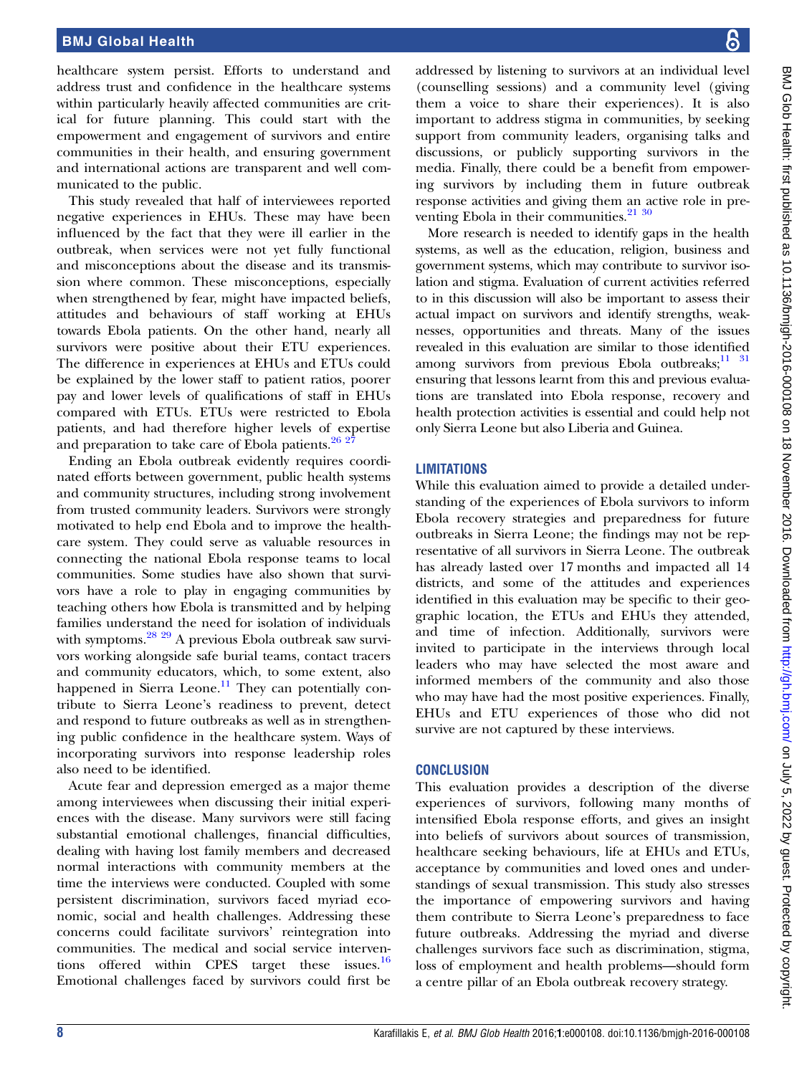healthcare system persist. Efforts to understand and address trust and confidence in the healthcare systems within particularly heavily affected communities are critical for future planning. This could start with the empowerment and engagement of survivors and entire communities in their health, and ensuring government and international actions are transparent and well communicated to the public.

This study revealed that half of interviewees reported negative experiences in EHUs. These may have been influenced by the fact that they were ill earlier in the outbreak, when services were not yet fully functional and misconceptions about the disease and its transmission where common. These misconceptions, especially when strengthened by fear, might have impacted beliefs, attitudes and behaviours of staff working at EHUs towards Ebola patients. On the other hand, nearly all survivors were positive about their ETU experiences. The difference in experiences at EHUs and ETUs could be explained by the lower staff to patient ratios, poorer pay and lower levels of qualifications of staff in EHUs compared with ETUs. ETUs were restricted to Ebola patients, and had therefore higher levels of expertise and preparation to take care of Ebola patients. $26\frac{27}{10}$ 

Ending an Ebola outbreak evidently requires coordinated efforts between government, public health systems and community structures, including strong involvement from trusted community leaders. Survivors were strongly motivated to help end Ebola and to improve the healthcare system. They could serve as valuable resources in connecting the national Ebola response teams to local communities. Some studies have also shown that survivors have a role to play in engaging communities by teaching others how Ebola is transmitted and by helping families understand the need for isolation of individuals with symptoms.<sup>28 29</sup> A previous Ebola outbreak saw survivors working alongside safe burial teams, contact tracers and community educators, which, to some extent, also happened in Sierra Leone.<sup>[11](#page-8-0)</sup> They can potentially contribute to Sierra Leone's readiness to prevent, detect and respond to future outbreaks as well as in strengthening public confidence in the healthcare system. Ways of incorporating survivors into response leadership roles also need to be identified.

Acute fear and depression emerged as a major theme among interviewees when discussing their initial experiences with the disease. Many survivors were still facing substantial emotional challenges, financial difficulties, dealing with having lost family members and decreased normal interactions with community members at the time the interviews were conducted. Coupled with some persistent discrimination, survivors faced myriad economic, social and health challenges. Addressing these concerns could facilitate survivors' reintegration into communities. The medical and social service interven-tions offered within CPES target these issues.<sup>[16](#page-8-0)</sup> Emotional challenges faced by survivors could first be

addressed by listening to survivors at an individual level (counselling sessions) and a community level (giving them a voice to share their experiences). It is also important to address stigma in communities, by seeking support from community leaders, organising talks and discussions, or publicly supporting survivors in the media. Finally, there could be a benefit from empowering survivors by including them in future outbreak response activities and giving them an active role in preventing Ebola in their communities.<sup>21</sup> <sup>30</sup>

More research is needed to identify gaps in the health systems, as well as the education, religion, business and government systems, which may contribute to survivor isolation and stigma. Evaluation of current activities referred to in this discussion will also be important to assess their actual impact on survivors and identify strengths, weaknesses, opportunities and threats. Many of the issues revealed in this evaluation are similar to those identified among survivors from previous Ebola outbreaks; $1131$ ensuring that lessons learnt from this and previous evaluations are translated into Ebola response, recovery and health protection activities is essential and could help not only Sierra Leone but also Liberia and Guinea.

#### LIMITATIONS

While this evaluation aimed to provide a detailed understanding of the experiences of Ebola survivors to inform Ebola recovery strategies and preparedness for future outbreaks in Sierra Leone; the findings may not be representative of all survivors in Sierra Leone. The outbreak has already lasted over 17 months and impacted all 14 districts, and some of the attitudes and experiences identified in this evaluation may be specific to their geographic location, the ETUs and EHUs they attended, and time of infection. Additionally, survivors were invited to participate in the interviews through local leaders who may have selected the most aware and informed members of the community and also those who may have had the most positive experiences. Finally, EHUs and ETU experiences of those who did not survive are not captured by these interviews.

#### **CONCLUSION**

This evaluation provides a description of the diverse experiences of survivors, following many months of intensified Ebola response efforts, and gives an insight into beliefs of survivors about sources of transmission, healthcare seeking behaviours, life at EHUs and ETUs, acceptance by communities and loved ones and understandings of sexual transmission. This study also stresses the importance of empowering survivors and having them contribute to Sierra Leone's preparedness to face future outbreaks. Addressing the myriad and diverse challenges survivors face such as discrimination, stigma, loss of employment and health problems—should form a centre pillar of an Ebola outbreak recovery strategy.